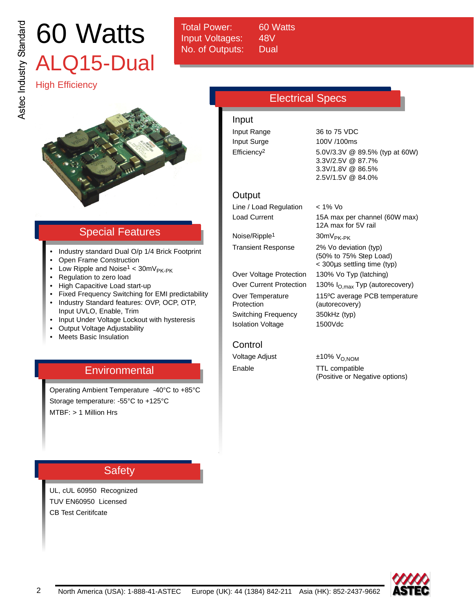# 60 Watts ALQ15-Dual

Total Power: 60 Watts Input Voltages: 48V No. of Outputs: Dual

# High Efficiency



# Special Features

- Industry standard Dual O/p 1/4 Brick Footprint
- Open Frame Construction
- Low Ripple and Noise<sup>1</sup> <  $30mV_{PK-PK}$
- Regulation to zero load
- High Capacitive Load start-up
- Fixed Frequency Switching for EMI predictability
- Industry Standard features: OVP, OCP, OTP,
- Input UVLO, Enable, Trim • Input Under Voltage Lockout with hysteresis
- Output Voltage Adjustability
- Meets Basic Insulation

# **Environmental**

Operating Ambient Temperature -40°C to +85°C Storage temperature: -55°C to +125°C MTBF: > 1 Million Hrs

# **Safety**

UL, cUL 60950 Recognized TUV EN60950 Licensed CB Test Ceritifcate

# Electrical Specs

Input Input Range 36 to 75 VDC Input Surge 100V /100ms

Efficiency2 5.0V/3.3V @ 89.5% (typ at 60W) 3.3V/2.5V @ 87.7% 3.3V/1.8V @ 86.5% 2.5V/1.5V @ 84.0%

## **Output**

Line / Load Regulation < 1% Vo Load Current 15A max per channel (60W max)

Noise/Ripple<sup>1</sup> 30mV<sub>PK-PK</sub>

Over Voltage Protection 130% Vo Typ (latching) Protection (autorecovery) Switching Frequency 350kHz (typ) Isolation Voltage 1500Vdc

Transient Response 2% Vo deviation (typ) (50% to 75% Step Load) < 300µs settling time (typ) Over Current Protection 130% I<sub>O, max</sub> Typ (autorecovery) Over Temperature 115ºC average PCB temperature

12A max for 5V rail

## Control

Voltage Adjust  $\pm 10\%$  V<sub>O,NOM</sub>

Enable TTL compatible (Positive or Negative options)